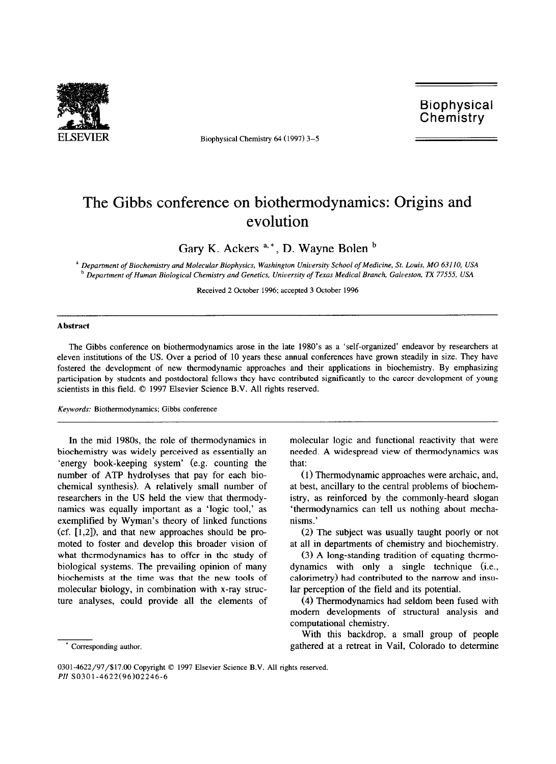

ELSEVIER Biophysical Chemistry 64 (1997) 3-5

Biophysical **Chemistry** 

## The Gibbs conference on biothermodynamics: Origins and evolution

Gary K. Ackers  $a^*$ , D. Wayne Bolen  $b$ 

a *Department of Biochemistry and Molecular Biophysics, Washington University School of Medicine, St. Louis, MO 631 IO, USA*  <sup>b</sup> Department of Human Biological Chemistry and Genetics, University of Texas Medical Branch, Galveston, TX 77555, USA

Received 2 October 1996; accepted 3 October 1996

## **Abstract**

The Gibbs conference on biothermodynamics arose in the late 1980's as a 'self-organized' endeavor by researchers at eleven institutions of the US. Over a period of 10 years these annual conferences have grown steadily in size. They have fostered the development of new thermodynamic approaches and their applications in biochemistry. By emphasizing participation by students and postdoctoral fellows they have contributed significantly to the career development of young scientists in this field.  $© 1997$  Elsevier Science B.V. All rights reserved.

## *Keywords:* Biothermodynamics; Gibbs conference

In the mid **198Os, the** role of thermodynamics in biochemistry was widely perceived as essentially an 'energy book-keeping system' (e.g. counting the number of ATP hydrolyses that pay for each biochemical synthesis). A relatively small number of researchers in the US held the view that tbermodynamics was equally important as a 'logic tool,' as exemplified by Wyman's theory of linked functions  $(cf. [1,2])$ , and that new approaches should be promoted to foster and develop this broader vision of what thermodynamics has to offer in the study of biological systems. The prevailing opinion of many biochemists at the time was that the new tools of molecular biology, in combination with x-ray structure analyses, could provide all the elements of

Corresponding author.

molecular logic and functional reactivity that were needed. A widespread view of thermodynamics was that:

(1) Thermodynamic approaches were archaic, and, at best, ancillary to the central problems of biochemistry, as reinforced by the commonly-heard slogan 'thermodynamics can tell us nothing about mechanisms.'

(2) The subject was usually taught poorly or not at all in departments of chemistry and biochemistry.

(3) A long-standing tradition of equating thermodynamics with only a single technique (i.e., calorimetry) had contributed to the narrow and insular perception of the field and its potential.

(4) Thermodynamics had seldom been fused with modem developments of structural analysis and computational chemistry.

With this backdrop, a small group of people gathered at a retreat in Vail, Colorado to determine

<sup>0301-4622/97/\$17.00</sup> Copyright © 1997 Elsevier Science B.V. All rights reserved. *PII* SO301-4622(96)02246-6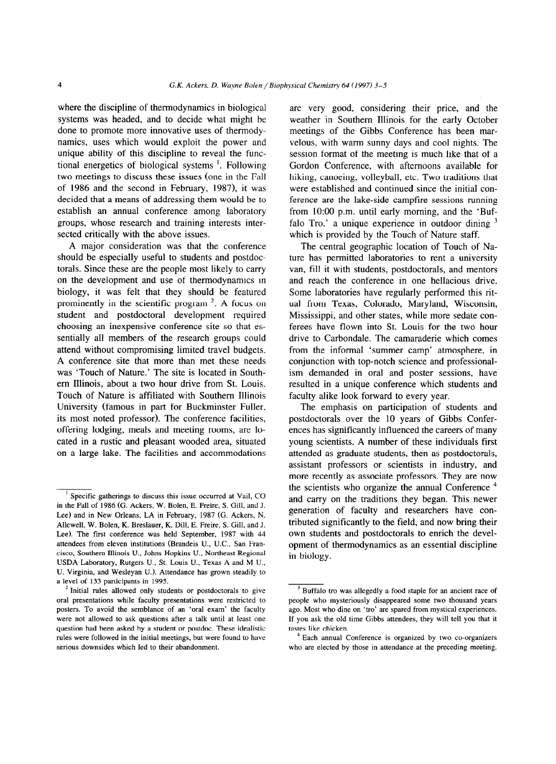where the discipline of thermodynamics in biological are very good, considering their price, and the systems was headed, and to decide what might be weather in Southern Illinois for the early October done to promote more innovative uses of thermody- meetings of the Gibbs Conference has been marnamics, uses which would exploit the power and velous, with warm sunny days and cool nights. The unique ability of this discipline to reveal the func- session format of the meeting is much like that of a tional energetics of biological systems '. Following Gordon Conference, with afternoons available for two meetings to discuss these issues (one in the Fall hiking, canoeing, volleyball, etc. Two traditions that of 1986 and the second in February, 1987), it was were established and continued since the initial condecided that a means of addressing them would be to ference are the lake-side campfire sessions running establish an annual conference among laboratory from 10:00 p.m. until early morning, and the 'Bufgroups, whose research and training interests inter-<br>falo Tro,' a unique experience in outdoor dining  $3$ sected critically with the above issues. which is provided by the Touch of Nature staff.

A major consideration was that the conference should be especially useful to students and postdoctorals. Since these are the people most likely to carry on the development and use of thermodynamics in biology, it was felt that they should be featured prominently in the scientific program  $2$ . A focus on student and postdoctoral development required choosing an inexpensive conference site so that essentially all members of the research groups could attend without compromising limited travel budgets. A conference site that more than met these needs was 'Touch of Nature.' The site is located in Southem Illinois, about a two hour drive from St. Louis. Touch of Nature is affiliated with Southern Illinois University (famous in part for Buckminster Fuller, its most noted professor). The conference facilities, offering lodging, meals and meeting rooms, are located in a rustic and pleasant wooded area, situated on a large lake. The facilities and accommodations

The central geographic location of Touch of Nature has permitted laboratories to rent a university van, fill it with students, postdoctorals, and mentors and reach the conference in one hellacious drive. Some laboratories have regularly performed this ritual from Texas, Colorado, Maryland, Wisconsin, Mississippi, and other states, while more sedate conferees have flown into St. Louis for the two hour drive to Carbondale. The camaraderie which comes from the informal 'summer camp' atmosphere, in conjunction with top-notch science and professionalism demanded in oral and poster sessions, have resulted in a unique conference which students and faculty alike look forward to every year.

The emphasis on participation of students and postdoctorals over the 10 years of Gibbs Conferences has significantly influenced the careers of many young scientists. A number of these individuals first attended as graduate students, then as postdoctorals, assistant professors or scientists in industry, and more recently as associate professors. They are now the scientists who organize the annual Conference<sup>4</sup> and carry on the traditions they began. This newer generation of faculty and researchers have contributed significantly to the field, and now bring their own students and postdoctorals to enrich the development of thermodynamics as an essential discipline in biology.

Specific gatherings to discuss this issue occurred at Vail, CO in the Fall of 1986 (G. Ackers, W. Bolen, E. Freire, S. Gill, and J. Lee) and in New Orleans, LA in February, 1987 (G. Ackers, N. Allewell, W. Bolen, K. Breslauer, K. Dill. E. Freire, S. Gill, and J. Lee). The first conference was held September, 1987 with 44 attendees from eleven institutions (Brandeis U., U.C., San Francisco, Southern Illinois U., Johns Hopkins U., Northeast Regional USDA Laboratory, Rutgers U., St. Louis U., Texas A and M U., U. Virginia, and Wesleyan U.). Attendance has grown steadily to a level of 133 participants in 1995.

<sup>2</sup> Initial rules allowed only students or postdoctorals to give oral presentations while faculty presentations were restricted to posters. To avoid the semblance of an 'oral exam' the faculty were not allowed to ask questions after a talk until at least one question had been asked by a student or postdoc. These idealistic rules were followed in the initial meetings, but were found to have serious downsides which led to their abandonment.

<sup>&</sup>lt;sup>3</sup> Buffalo tro was allegedly a food staple for an ancient race of people who mysteriously disappeared some two thousand years ago. Most who dine on 'tro' are spared from mystical experiences. If you ask the old time Gibbs attendees, they will tell you that it tastes like chicken.

Each annual Conference is organized by two co-organizers who are elected by those in attendance at the preceding meeting.